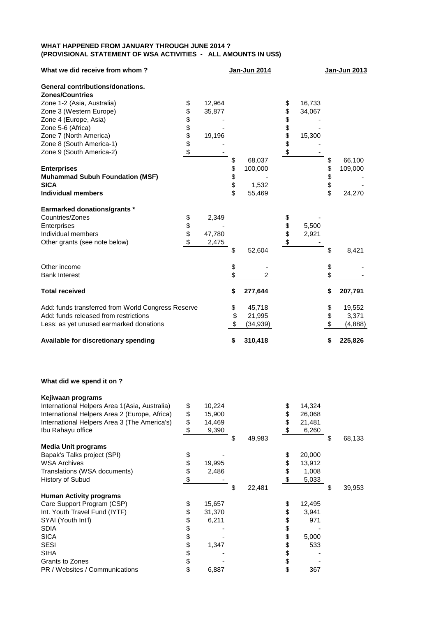## **WHAT HAPPENED FROM JANUARY THROUGH JUNE 2014 ? (PROVISIONAL STATEMENT OF WSA ACTIVITIES - ALL AMOUNTS IN US\$)**

| What we did receive from whom?                     |          |        |          | Jan-Jun 2014   |          |        |      | Jan-Jun 2013 |
|----------------------------------------------------|----------|--------|----------|----------------|----------|--------|------|--------------|
| General contributions/donations.                   |          |        |          |                |          |        |      |              |
| <b>Zones/Countries</b>                             |          |        |          |                |          |        |      |              |
| Zone 1-2 (Asia, Australia)                         | \$       | 12,964 |          |                | \$       | 16,733 |      |              |
| Zone 3 (Western Europe)                            | \$       | 35,877 |          |                | \$       | 34,067 |      |              |
| Zone 4 (Europe, Asia)                              | \$       |        |          |                | \$       |        |      |              |
| Zone 5-6 (Africa)                                  | \$\$     |        |          |                | \$\$     |        |      |              |
| Zone 7 (North America)                             |          | 19,196 |          |                |          | 15,300 |      |              |
| Zone 8 (South America-1)                           |          |        |          |                |          |        |      |              |
| Zone 9 (South America-2)                           | \$       |        |          |                | \$       |        |      |              |
|                                                    |          |        | \$       | 68,037         |          |        | \$   | 66,100       |
| <b>Enterprises</b>                                 |          |        |          | 100,000        |          |        | \$   | 109,000      |
| <b>Muhammad Subuh Foundation (MSF)</b>             |          |        | \$\$\$\$ |                |          |        | \$\$ |              |
| <b>SICA</b>                                        |          |        |          | 1,532          |          |        |      |              |
| <b>Individual members</b>                          |          |        |          | 55,469         |          |        |      | 24,270       |
| <b>Earmarked donations/grants *</b>                |          |        |          |                |          |        |      |              |
| Countries/Zones                                    | \$       | 2,349  |          |                | \$       |        |      |              |
| Enterprises                                        |          |        |          |                |          | 5,500  |      |              |
| Individual members                                 | \$<br>\$ | 47,780 |          |                | \$<br>\$ | 2,921  |      |              |
| Other grants (see note below)                      | \$       | 2,475  |          |                | \$       |        |      |              |
|                                                    |          |        | \$       | 52,604         |          |        | \$   | 8,421        |
| Other income                                       |          |        |          |                |          |        | \$   |              |
| <b>Bank Interest</b>                               |          |        | \$       | $\overline{2}$ |          |        | \$   |              |
| <b>Total received</b>                              |          |        | \$       | 277,644        |          |        | \$   | 207,791      |
| Add: funds transferred from World Congress Reserve |          |        | \$       | 45,718         |          |        | \$   | 19,552       |
| Add: funds released from restrictions              |          |        | \$       | 21,995         |          |        | \$   | 3,371        |
| Less: as yet unused earmarked donations            |          |        | \$       | (34, 939)      |          |        | \$   | (4,888)      |
| Available for discretionary spending               |          |        | \$       | 310,418        |          |        | \$   | 225,826      |

## **What did we spend it on ?**

| Kejiwaan programs                              |          |        |   |        |    |        |     |        |
|------------------------------------------------|----------|--------|---|--------|----|--------|-----|--------|
| International Helpers Area 1 (Asia, Australia) | \$       | 10,224 |   |        | \$ | 14,324 |     |        |
| International Helpers Area 2 (Europe, Africa)  | \$       | 15,900 |   |        | \$ | 26,068 |     |        |
| International Helpers Area 3 (The America's)   | \$       | 14,469 |   |        | S  | 21,481 |     |        |
| Ibu Rahayu office                              | \$       | 9,390  |   |        |    | 6,260  |     |        |
|                                                |          |        | S | 49,983 |    |        | \$  | 68,133 |
| <b>Media Unit programs</b>                     |          |        |   |        |    |        |     |        |
| Bapak's Talks project (SPI)                    | \$       |        |   |        | \$ | 20,000 |     |        |
| <b>WSA Archives</b>                            | \$       | 19,995 |   |        | \$ | 13,912 |     |        |
| Translations (WSA documents)                   | \$       | 2,486  |   |        | \$ | 1,008  |     |        |
| History of Subud                               | \$       |        |   |        |    | 5,033  |     |        |
|                                                |          |        |   | 22,481 |    |        | \$. | 39,953 |
|                                                |          |        |   |        |    |        |     |        |
| <b>Human Activity programs</b>                 |          |        |   |        |    |        |     |        |
| Care Support Program (CSP)                     | \$       | 15,657 |   |        | \$ | 12,495 |     |        |
| Int. Youth Travel Fund (IYTF)                  | \$       | 31,370 |   |        | \$ | 3,941  |     |        |
| SYAI (Youth Int'l)                             | \$       | 6,211  |   |        | \$ | 971    |     |        |
| <b>SDIA</b>                                    |          |        |   |        | \$ |        |     |        |
| <b>SICA</b>                                    | \$<br>\$ |        |   |        | \$ | 5,000  |     |        |
| <b>SESI</b>                                    | \$       | 1,347  |   |        | \$ | 533    |     |        |
| <b>SIHA</b>                                    | \$       |        |   |        | \$ |        |     |        |
| Grants to Zones                                | \$       |        |   |        | \$ |        |     |        |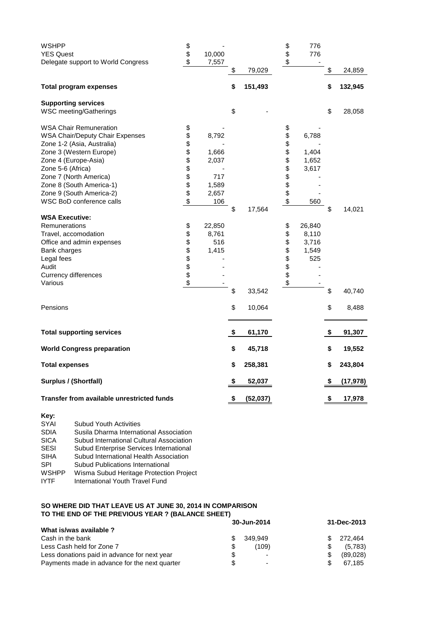| <b>WSHPP</b>                                      | \$     |        |                | \$            | 776    |                        |           |
|---------------------------------------------------|--------|--------|----------------|---------------|--------|------------------------|-----------|
| <b>YES Quest</b>                                  | \$     | 10,000 |                | \$            | 776    |                        |           |
| Delegate support to World Congress                | \$     | 7,557  |                | \$            |        |                        |           |
|                                                   |        |        | \$<br>79,029   |               |        | \$                     | 24,859    |
| <b>Total program expenses</b>                     |        |        | \$<br>151,493  |               |        | \$                     | 132,945   |
| <b>Supporting services</b>                        |        |        |                |               |        |                        |           |
| WSC meeting/Gatherings                            |        |        | \$             |               |        | \$                     | 28,058    |
| <b>WSA Chair Remuneration</b>                     | \$     |        |                | \$            |        |                        |           |
| <b>WSA Chair/Deputy Chair Expenses</b>            | \$     | 8,792  |                | \$            | 6,788  |                        |           |
| Zone 1-2 (Asia, Australia)                        | \$     |        |                |               |        |                        |           |
| Zone 3 (Western Europe)                           | \$\$   | 1,666  |                | \$<br>\$      | 1,404  |                        |           |
| Zone 4 (Europe-Asia)                              |        | 2,037  |                |               | 1,652  |                        |           |
| Zone 5-6 (Africa)                                 |        |        |                |               | 3,617  |                        |           |
| Zone 7 (North America)                            |        | 717    |                |               |        |                        |           |
| Zone 8 (South America-1)                          | \$\$   | 1,589  |                |               |        |                        |           |
| Zone 9 (South America-2)                          |        | 2,657  |                |               |        |                        |           |
| WSC BoD conference calls                          | \$     | 106    |                | <b>888888</b> | 560    |                        |           |
|                                                   |        |        | \$<br>17,564   |               |        | \$                     | 14,021    |
| <b>WSA Executive:</b>                             |        |        |                |               |        |                        |           |
| Remunerations                                     | \$     | 22,850 |                | \$            | 26,840 |                        |           |
| Travel, accomodation                              | \$     | 8,761  |                | \$            | 8,110  |                        |           |
| Office and admin expenses                         | \$     | 516    |                | \$            | 3,716  |                        |           |
| Bank charges                                      |        | 1,415  |                | \$            | 1,549  |                        |           |
| Legal fees                                        |        |        |                |               | 525    |                        |           |
| Audit                                             |        |        |                |               |        |                        |           |
| Currency differences                              | \$\$\$ |        |                | \$\$          |        |                        |           |
| Various                                           | \$     |        |                | \$            |        |                        |           |
|                                                   |        |        | \$<br>33,542   |               |        | \$                     | 40,740    |
|                                                   |        |        |                |               |        |                        |           |
| Pensions                                          |        |        | \$<br>10,064   |               |        | \$                     | 8,488     |
| <b>Total supporting services</b>                  |        |        | \$<br>61,170   |               |        | \$                     | 91,307    |
| <b>World Congress preparation</b>                 |        |        | \$<br>45,718   |               |        | \$                     | 19,552    |
| <b>Total expenses</b>                             |        |        | \$<br>258,381  |               |        | \$                     | 243,804   |
| Surplus / (Shortfall)                             |        |        | \$<br>52,037   |               |        | \$                     | (17, 978) |
| <b>Transfer from available unrestricted funds</b> |        |        | \$<br>(52,037) |               |        | $\boldsymbol{\hat{z}}$ | 17,978    |

| Key:         |                                          |
|--------------|------------------------------------------|
| <b>SYAI</b>  | <b>Subud Youth Activities</b>            |
| <b>SDIA</b>  | Susila Dharma International Association  |
| <b>SICA</b>  | Subud International Cultural Association |
| <b>SESI</b>  | Subud Enterprise Services International  |
| <b>SIHA</b>  | Subud International Health Association   |
| SPI          | Subud Publications International         |
| <b>WSHPP</b> | Wisma Subud Heritage Protection Project  |
| <b>IYTF</b>  | International Youth Travel Fund          |

## **SO WHERE DID THAT LEAVE US AT JUNE 30, 2014 IN COMPARISON TO THE END OF THE PREVIOUS YEAR ? (BALANCE SHEET)**

|                                               |    | 30-Jun-2014 | 31-Dec-2013 |          |  |
|-----------------------------------------------|----|-------------|-------------|----------|--|
| What is/was available ?                       |    |             |             |          |  |
| Cash in the bank                              |    | 349.949     | \$.         | 272.464  |  |
| Less Cash held for Zone 7                     | \$ | (109)       |             | (5,783)  |  |
| Less donations paid in advance for next year  | \$ | -           | \$.         | (89,028) |  |
| Payments made in advance for the next quarter | \$ | -           |             | 67.185   |  |